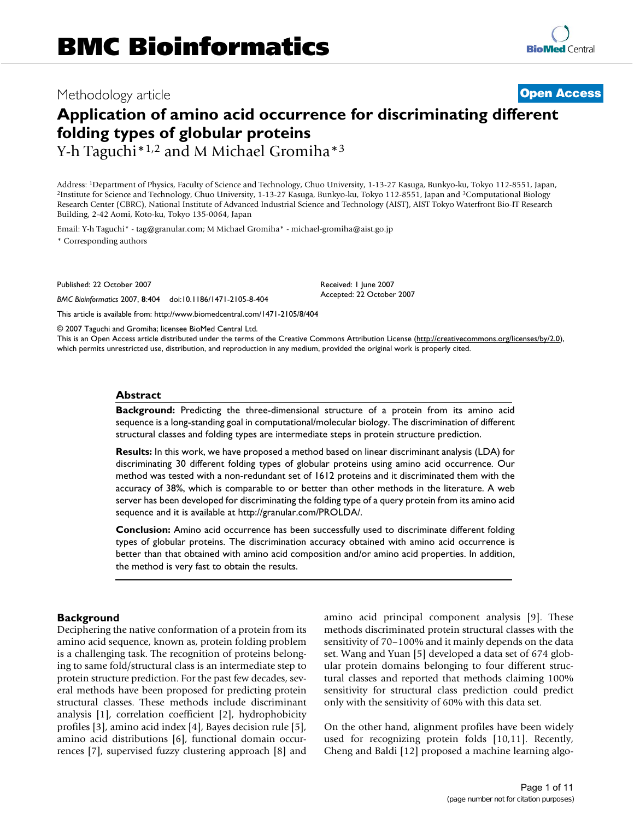## Methodology article **Contract Contract Contract Contract Contract Contract Contract Contract Contract Contract Contract Contract Contract Contract Contract Contract Contract Contract Contract Contract Contract Contract Con**

# **Application of amino acid occurrence for discriminating different folding types of globular proteins**

Y-h Taguchi<sup>\*1,2</sup> and M Michael Gromiha<sup>\*3</sup>

Address: <sup>1</sup>Department of Physics, Faculty of Science and Technology, Chuo University, 1-13-27 Kasuga, Bunkyo-ku, Tokyo 112-8551, Japan, <sup>2</sup>Institute for Science and Technology, Chuo University, 1-13-27 Kasuga, Bunkyo-ku, Tokyo 112-8551, Japan and <sup>3</sup>Computational Biology Research Center (CBRC), National Institute of Advanced Industrial Science and Technology (AIST), AIST Tokyo Waterfront Bio-IT Research Building, 2-42 Aomi, Koto-ku, Tokyo 135-0064, Japan

Email: Y-h Taguchi\* - tag@granular.com; M Michael Gromiha\* - michael-gromiha@aist.go.jp \* Corresponding authors

Published: 22 October 2007

*BMC Bioinformatics* 2007, **8**:404 doi:10.1186/1471-2105-8-404

[This article is available from: http://www.biomedcentral.com/1471-2105/8/404](http://www.biomedcentral.com/1471-2105/8/404)

© 2007 Taguchi and Gromiha; licensee BioMed Central Ltd.

This is an Open Access article distributed under the terms of the Creative Commons Attribution License [\(http://creativecommons.org/licenses/by/2.0\)](http://creativecommons.org/licenses/by/2.0), which permits unrestricted use, distribution, and reproduction in any medium, provided the original work is properly cited.

Received: 1 June 2007 Accepted: 22 October 2007

## **Abstract**

**Background:** Predicting the three-dimensional structure of a protein from its amino acid sequence is a long-standing goal in computational/molecular biology. The discrimination of different structural classes and folding types are intermediate steps in protein structure prediction.

**Results:** In this work, we have proposed a method based on linear discriminant analysis (LDA) for discriminating 30 different folding types of globular proteins using amino acid occurrence. Our method was tested with a non-redundant set of 1612 proteins and it discriminated them with the accuracy of 38%, which is comparable to or better than other methods in the literature. A web server has been developed for discriminating the folding type of a query protein from its amino acid sequence and it is available at http://granular.com/PROLDA/.

**Conclusion:** Amino acid occurrence has been successfully used to discriminate different folding types of globular proteins. The discrimination accuracy obtained with amino acid occurrence is better than that obtained with amino acid composition and/or amino acid properties. In addition, the method is very fast to obtain the results.

## **Background**

Deciphering the native conformation of a protein from its amino acid sequence, known as, protein folding problem is a challenging task. The recognition of proteins belonging to same fold/structural class is an intermediate step to protein structure prediction. For the past few decades, several methods have been proposed for predicting protein structural classes. These methods include discriminant analysis [1], correlation coefficient [2], hydrophobicity profiles [3], amino acid index [4], Bayes decision rule [5], amino acid distributions [6], functional domain occurrences [7], supervised fuzzy clustering approach [8] and amino acid principal component analysis [9]. These methods discriminated protein structural classes with the sensitivity of 70–100% and it mainly depends on the data set. Wang and Yuan [5] developed a data set of 674 globular protein domains belonging to four different structural classes and reported that methods claiming 100% sensitivity for structural class prediction could predict only with the sensitivity of 60% with this data set.

On the other hand, alignment profiles have been widely used for recognizing protein folds [10,11]. Recently, Cheng and Baldi [12] proposed a machine learning algo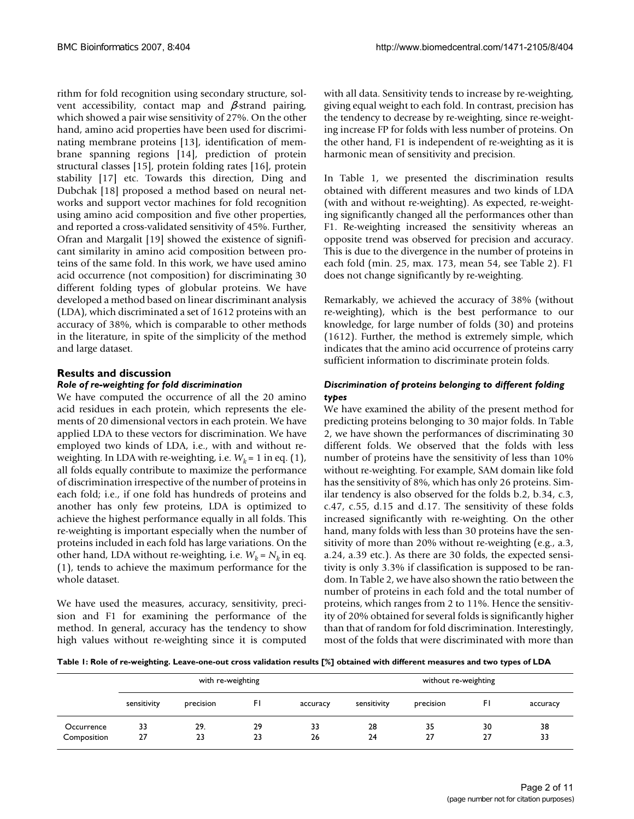rithm for fold recognition using secondary structure, solvent accessibility, contact map and -strand pairing, which showed a pair wise sensitivity of 27%. On the other hand, amino acid properties have been used for discriminating membrane proteins [13], identification of membrane spanning regions [14], prediction of protein structural classes [15], protein folding rates [16], protein stability [17] etc. Towards this direction, Ding and Dubchak [18] proposed a method based on neural networks and support vector machines for fold recognition using amino acid composition and five other properties, and reported a cross-validated sensitivity of 45%. Further, Ofran and Margalit [19] showed the existence of significant similarity in amino acid composition between proteins of the same fold. In this work, we have used amino acid occurrence (not composition) for discriminating 30 different folding types of globular proteins. We have developed a method based on linear discriminant analysis (LDA), which discriminated a set of 1612 proteins with an accuracy of 38%, which is comparable to other methods in the literature, in spite of the simplicity of the method and large dataset.

## **Results and discussion** *Role of re-weighting for fold discrimination*

We have computed the occurrence of all the 20 amino acid residues in each protein, which represents the elements of 20 dimensional vectors in each protein. We have applied LDA to these vectors for discrimination. We have employed two kinds of LDA, i.e., with and without reweighting. In LDA with re-weighting, i.e.  $W_k = 1$  in eq. (1), all folds equally contribute to maximize the performance of discrimination irrespective of the number of proteins in each fold; i.e., if one fold has hundreds of proteins and another has only few proteins, LDA is optimized to achieve the highest performance equally in all folds. This re-weighting is important especially when the number of proteins included in each fold has large variations. On the other hand, LDA without re-weighting, i.e.  $W_k = N_k$  in eq. (1), tends to achieve the maximum performance for the whole dataset.

We have used the measures, accuracy, sensitivity, precision and F1 for examining the performance of the method. In general, accuracy has the tendency to show high values without re-weighting since it is computed

with all data. Sensitivity tends to increase by re-weighting, giving equal weight to each fold. In contrast, precision has the tendency to decrease by re-weighting, since re-weighting increase FP for folds with less number of proteins. On the other hand, F1 is independent of re-weighting as it is harmonic mean of sensitivity and precision.

In Table 1, we presented the discrimination results obtained with different measures and two kinds of LDA (with and without re-weighting). As expected, re-weighting significantly changed all the performances other than F1. Re-weighting increased the sensitivity whereas an opposite trend was observed for precision and accuracy. This is due to the divergence in the number of proteins in each fold (min. 25, max. 173, mean 54, see Table 2). F1 does not change significantly by re-weighting.

Remarkably, we achieved the accuracy of 38% (without re-weighting), which is the best performance to our knowledge, for large number of folds (30) and proteins (1612). Further, the method is extremely simple, which indicates that the amino acid occurrence of proteins carry sufficient information to discriminate protein folds.

## *Discrimination of proteins belonging to different folding types*

We have examined the ability of the present method for predicting proteins belonging to 30 major folds. In Table 2, we have shown the performances of discriminating 30 different folds. We observed that the folds with less number of proteins have the sensitivity of less than 10% without re-weighting. For example, SAM domain like fold has the sensitivity of 8%, which has only 26 proteins. Similar tendency is also observed for the folds b.2, b.34, c.3, c.47, c.55, d.15 and d.17. The sensitivity of these folds increased significantly with re-weighting. On the other hand, many folds with less than 30 proteins have the sensitivity of more than 20% without re-weighting (e.g., a.3, a.24, a.39 etc.). As there are 30 folds, the expected sensitivity is only 3.3% if classification is supposed to be random. In Table 2, we have also shown the ratio between the number of proteins in each fold and the total number of proteins, which ranges from 2 to 11%. Hence the sensitivity of 20% obtained for several folds is significantly higher than that of random for fold discrimination. Interestingly, most of the folds that were discriminated with more than

**Table 1: Role of re-weighting. Leave-one-out cross validation results [%] obtained with different measures and two types of LDA**

|             | with re-weighting |           |     |          | without re-weighting |           |    |          |
|-------------|-------------------|-----------|-----|----------|----------------------|-----------|----|----------|
|             | sensitivity       | precision | FI. | accuracy | sensitivity          | precision | FI | accuracy |
| Occurrence  | 33                | 29.       | 29  | 33       | 28                   | 35        | 30 | 38       |
| Composition | 27                | 23        | 23  | 26       | 24                   | 27        | 27 | 33       |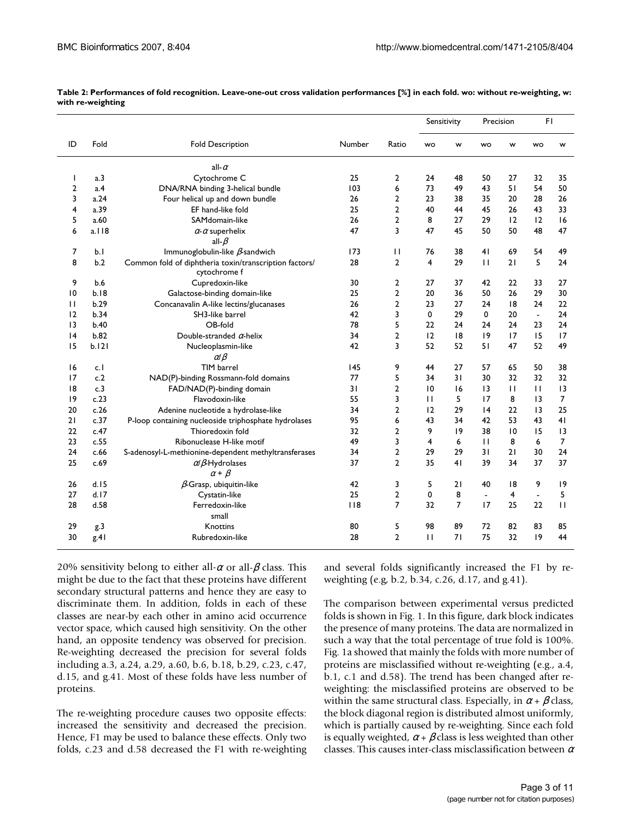|                |       |                                                                        |        |                |                | Sensitivity<br>Precision |                | FI           |                 |              |
|----------------|-------|------------------------------------------------------------------------|--------|----------------|----------------|--------------------------|----------------|--------------|-----------------|--------------|
| ID             | Fold  | <b>Fold Description</b>                                                | Number | Ratio          | <b>WO</b>      | w                        | <b>WO</b>      | w            | <b>WO</b>       | w            |
|                |       | all-                                                                   |        |                |                |                          |                |              |                 |              |
| ı              | a.3   | Cytochrome C                                                           | 25     | 2              | 24             | 48                       | 50             | 27           | 32              | 35           |
| $\overline{2}$ | a.4   | DNA/RNA binding 3-helical bundle                                       | 103    | 6              | 73             | 49                       | 43             | 51           | 54              | 50           |
| 3              | a.24  | Four helical up and down bundle                                        | 26     | $\overline{2}$ | 23             | 38                       | 35             | 20           | 28              | 26           |
| 4              | a.39  | EF hand-like fold                                                      | 25     | $\overline{a}$ | 40             | 44                       | 45             | 26           | 43              | 33           |
| 5              | a.60  | SAMdomain-like                                                         | 26     | $\overline{2}$ | 8              | 27                       | 29             | 12           | 12              | 16           |
| 6              | a.118 | - superhelix                                                           | 47     | 3              | 47             | 45                       | 50             | 50           | 48              | 47           |
|                |       | all-                                                                   |        |                |                |                          |                |              |                 |              |
| 7              | b.1   | Immunoglobulin-like -sandwich                                          | 173    | $\mathbf{H}$   | 76             | 38                       | 41             | 69           | 54              | 49           |
| 8              | b.2   | Common fold of diphtheria toxin/transcription factors/<br>cytochrome f | 28     | $\overline{2}$ | $\overline{4}$ | 29                       | $\mathbf{H}$   | 21           | 5               | 24           |
| 9              | b.6   | Cupredoxin-like                                                        | 30     | 2              | 27             | 37                       | 42             | 22           | 33              | 27           |
| 10             | b.18  | Galactose-binding domain-like                                          | 25     | $\overline{2}$ | 20             | 36                       | 50             | 26           | 29              | 30           |
| $\mathbf{H}$   | b.29  | Concanavalin A-like lectins/glucanases                                 | 26     | $\overline{2}$ | 23             | 27                       | 24             | 8            | 24              | 22           |
| 12             | b.34  | SH3-like barrel                                                        | 42     | 3              | $\mathbf 0$    | 29                       | 0              | 20           | $\overline{a}$  | 24           |
| 3              | b.40  | OB-fold                                                                | 78     | 5              | 22             | 24                       | 24             | 24           | 23              | 24           |
| 4              | b.82  | Double-stranded -helix                                                 | 34     | $\overline{2}$ | 12             | 8                        | 9              | 17           | 15              | 17           |
| 15             | b.121 | Nucleoplasmin-like                                                     | 42     | 3              | 52             | 52                       | 51             | 47           | 52              | 49           |
|                |       |                                                                        |        |                |                |                          |                |              |                 |              |
| 16             | c.l   | TIM barrel                                                             | 145    | 9              | 44             | 27                       | 57             | 65           | 50              | 38           |
| 17             | c.2   | NAD(P)-binding Rossmann-fold domains                                   | 77     | 5              | 34             | 31                       | 30             | 32           | 32              | 32           |
| 8              | c.3   | FAD/NAD(P)-binding domain                                              | 31     | $\overline{2}$ | 10             | 16                       | 13             | $\mathbf{H}$ | $\mathbf{H}$    | 13           |
| 9              | c.23  | Flavodoxin-like                                                        | 55     | 3              | $\mathbf{H}$   | 5                        | 17             | 8            | $\overline{13}$ | 7            |
| 20             | c.26  | Adenine nucleotide a hydrolase-like                                    | 34     | $\overline{2}$ | 12             | 29                       | 4              | 22           | 13              | 25           |
| 21             | c.37  | P-loop containing nucleoside triphosphate hydrolases                   | 95     | 6              | 43             | 34                       | 42             | 53           | 43              | 41           |
| 22             | c.47  | Thioredoxin fold                                                       | 32     | $\overline{a}$ | 9              | 9                        | 38             | 10           | 15              | 13           |
| 23             | c.55  | Ribonuclease H-like motif                                              | 49     | 3              | 4              | 6                        | $\mathbf{H}$   | 8            | 6               | 7            |
| 24             | c.66  | S-adenosyl-L-methionine-dependent methyltransferases                   | 34     | $\overline{a}$ | 29             | 29                       | 31             | 21           | 30              | 24           |
| 25             | c.69  | / -Hydrolases                                                          | 37     | $\overline{a}$ | 35             | 41                       | 39             | 34           | 37              | 37           |
|                |       | $+$                                                                    |        |                |                |                          |                |              |                 |              |
| 26             | d.15  | -Grasp, ubiquitin-like                                                 | 42     | 3              | 5              | 21                       | 40             | 8            | 9               | 9            |
| 27             | d.17  | Cystatin-like                                                          | 25     | $\overline{2}$ | 0              | 8                        | $\blacksquare$ | 4            | $\overline{a}$  | 5            |
| 28             | d.58  | Ferredoxin-like                                                        | 118    | $\overline{7}$ | 32             | $\overline{7}$           | 17             | 25           | 22              | $\mathbf{H}$ |
|                |       | small                                                                  |        |                |                |                          |                |              |                 |              |
| 29             | g.3   | Knottins                                                               | 80     | 5              | 98             | 89                       | 72             | 82           | 83              | 85           |
| 30             | g.41  | Rubredoxin-like                                                        | 28     | $\overline{2}$ | $\mathbf{H}$   | 71                       | 75             | 32           | 9               | 44           |
|                |       |                                                                        |        |                |                |                          |                |              |                 |              |

**Table 2: Performances of fold recognition. Leave-one-out cross validation performances [%] in each fold. wo: without re-weighting, w: with re-weighting**

20% sensitivity belong to either all- or all- class. This might be due to the fact that these proteins have different secondary structural patterns and hence they are easy to discriminate them. In addition, folds in each of these classes are near-by each other in amino acid occurrence vector space, which caused high sensitivity. On the other hand, an opposite tendency was observed for precision. Re-weighting decreased the precision for several folds including a.3, a.24, a.29, a.60, b.6, b.18, b.29, c.23, c.47, d.15, and g.41. Most of these folds have less number of proteins.

The re-weighting procedure causes two opposite effects: increased the sensitivity and decreased the precision. Hence, F1 may be used to balance these effects. Only two folds, c.23 and d.58 decreased the F1 with re-weighting and several folds significantly increased the F1 by reweighting (e.g, b.2, b.34, c.26, d.17, and g.41).

The comparison between experimental versus predicted folds is shown in Fig. 1. In this figure, dark block indicates the presence of many proteins. The data are normalized in such a way that the total percentage of true fold is 100%. Fig. 1a showed that mainly the folds with more number of proteins are misclassified without re-weighting (e.g., a.4, b.1, c.1 and d.58). The trend has been changed after reweighting: the misclassified proteins are observed to be within the same structural class. Especially, in  $+$  class, the block diagonal region is distributed almost uniformly, which is partially caused by re-weighting. Since each fold is equally weighted,  $+$  class is less weighted than other classes. This causes inter-class misclassification between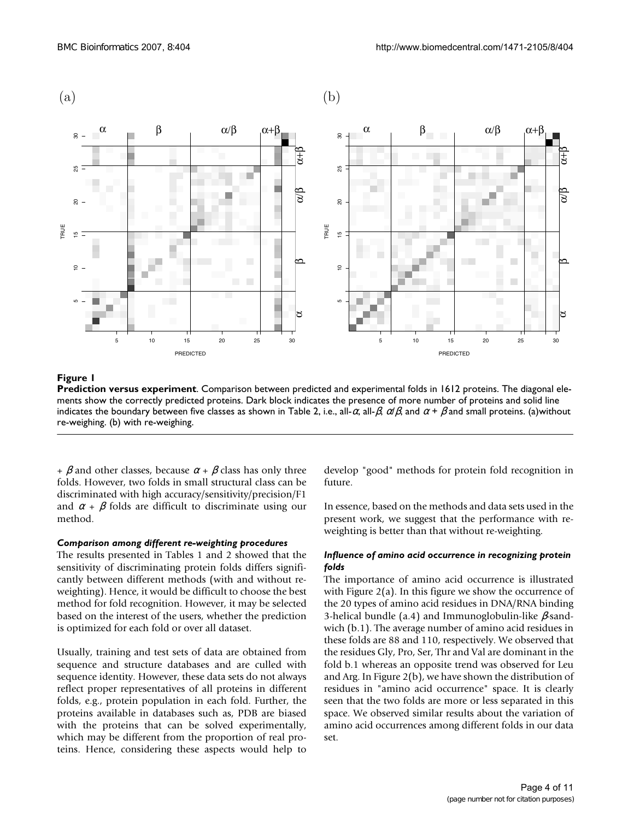

#### **Figure 1**

**Prediction versus experiment**. Comparison between predicted and experimental folds in 1612 proteins. The diagonal elements show the correctly predicted proteins. Dark block indicates the presence of more number of proteins and solid line indicates the boundary between five classes as shown in Table 2, i.e., all- ,  $\frac{1}{2}$ , and + and small proteins. (a)without re-weighing. (b) with re-weighing.

+ and other classes, because + class has only three folds. However, two folds in small structural class can be discriminated with high accuracy/sensitivity/precision/F1 and + folds are difficult to discriminate using our method.

#### *Comparison among different re-weighting procedures*

The results presented in Tables 1 and 2 showed that the sensitivity of discriminating protein folds differs significantly between different methods (with and without reweighting). Hence, it would be difficult to choose the best method for fold recognition. However, it may be selected based on the interest of the users, whether the prediction is optimized for each fold or over all dataset.

Usually, training and test sets of data are obtained from sequence and structure databases and are culled with sequence identity. However, these data sets do not always reflect proper representatives of all proteins in different folds, e.g., protein population in each fold. Further, the proteins available in databases such as, PDB are biased with the proteins that can be solved experimentally, which may be different from the proportion of real proteins. Hence, considering these aspects would help to

develop "good" methods for protein fold recognition in future.

In essence, based on the methods and data sets used in the present work, we suggest that the performance with reweighting is better than that without re-weighting.

#### *Influence of amino acid occurrence in recognizing protein folds*

The importance of amino acid occurrence is illustrated with Figure 2(a). In this figure we show the occurrence of the 20 types of amino acid residues in DNA/RNA binding 3-helical bundle (a.4) and Immunoglobulin-like -sandwich (b.1). The average number of amino acid residues in these folds are 88 and 110, respectively. We observed that the residues Gly, Pro, Ser, Thr and Val are dominant in the fold b.1 whereas an opposite trend was observed for Leu and Arg. In Figure 2(b), we have shown the distribution of residues in "amino acid occurrence" space. It is clearly seen that the two folds are more or less separated in this space. We observed similar results about the variation of amino acid occurrences among different folds in our data set.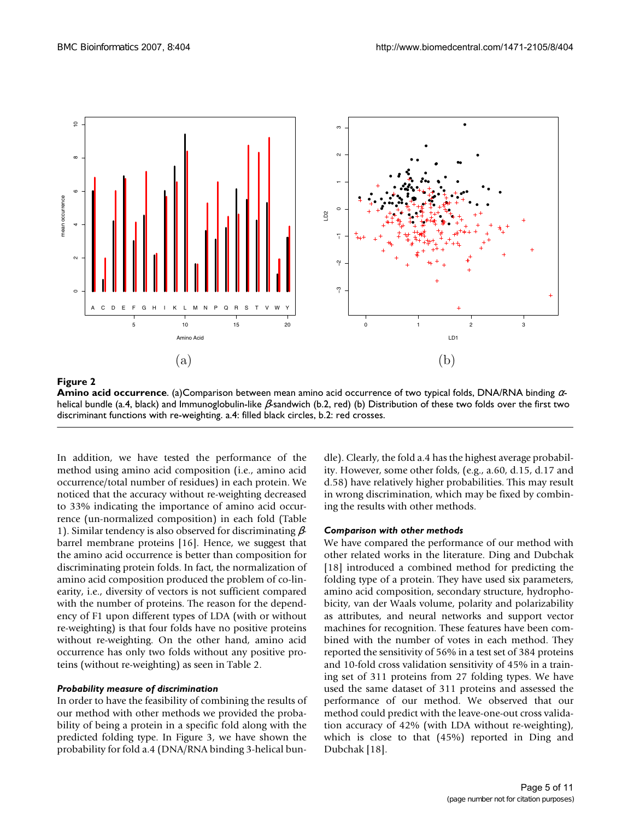

#### **Figure 2**

**Amino acid occurrence**. (a)Comparison between mean amino acid occurrence of two typical folds, DNA/RNA binding helical bundle (a.4, black) and Immunoglobulin-like -sandwich (b.2, red) (b) Distribution of these two folds over the first two discriminant functions with re-weighting. a.4: filled black circles, b.2: red crosses.

In addition, we have tested the performance of the method using amino acid composition (i.e., amino acid occurrence/total number of residues) in each protein. We noticed that the accuracy without re-weighting decreased to 33% indicating the importance of amino acid occurrence (un-normalized composition) in each fold (Table 1). Similar tendency is also observed for discriminating barrel membrane proteins [16]. Hence, we suggest that the amino acid occurrence is better than composition for discriminating protein folds. In fact, the normalization of amino acid composition produced the problem of co-linearity, i.e., diversity of vectors is not sufficient compared with the number of proteins. The reason for the dependency of F1 upon different types of LDA (with or without re-weighting) is that four folds have no positive proteins without re-weighting. On the other hand, amino acid occurrence has only two folds without any positive proteins (without re-weighting) as seen in Table 2.

## *Probability measure of discrimination*

In order to have the feasibility of combining the results of our method with other methods we provided the probability of being a protein in a specific fold along with the predicted folding type. In Figure 3, we have shown the probability for fold a.4 (DNA/RNA binding 3-helical bundle). Clearly, the fold a.4 has the highest average probability. However, some other folds, (e.g., a.60, d.15, d.17 and d.58) have relatively higher probabilities. This may result in wrong discrimination, which may be fixed by combining the results with other methods.

## *Comparison with other methods*

We have compared the performance of our method with other related works in the literature. Ding and Dubchak [18] introduced a combined method for predicting the folding type of a protein. They have used six parameters, amino acid composition, secondary structure, hydrophobicity, van der Waals volume, polarity and polarizability as attributes, and neural networks and support vector machines for recognition. These features have been combined with the number of votes in each method. They reported the sensitivity of 56% in a test set of 384 proteins and 10-fold cross validation sensitivity of 45% in a training set of 311 proteins from 27 folding types. We have used the same dataset of 311 proteins and assessed the performance of our method. We observed that our method could predict with the leave-one-out cross validation accuracy of 42% (with LDA without re-weighting), which is close to that (45%) reported in Ding and Dubchak [18].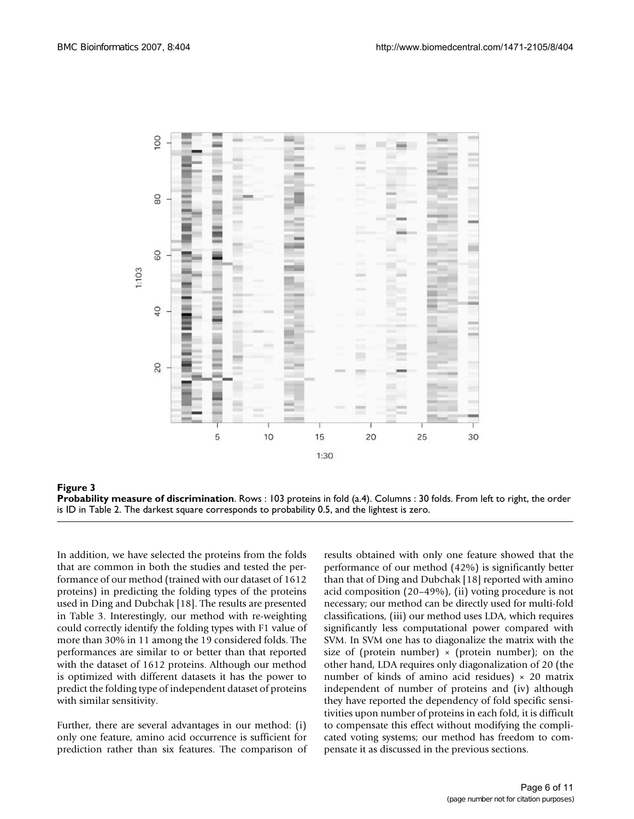



In addition, we have selected the proteins from the folds that are common in both the studies and tested the performance of our method (trained with our dataset of 1612 proteins) in predicting the folding types of the proteins used in Ding and Dubchak [18]. The results are presented in Table 3. Interestingly, our method with re-weighting could correctly identify the folding types with F1 value of more than 30% in 11 among the 19 considered folds. The performances are similar to or better than that reported with the dataset of 1612 proteins. Although our method is optimized with different datasets it has the power to predict the folding type of independent dataset of proteins with similar sensitivity.

Further, there are several advantages in our method: (i) only one feature, amino acid occurrence is sufficient for prediction rather than six features. The comparison of results obtained with only one feature showed that the performance of our method (42%) is significantly better than that of Ding and Dubchak [18] reported with amino acid composition (20–49%), (ii) voting procedure is not necessary; our method can be directly used for multi-fold classifications, (iii) our method uses LDA, which requires significantly less computational power compared with SVM. In SVM one has to diagonalize the matrix with the size of (protein number)  $\times$  (protein number); on the other hand, LDA requires only diagonalization of 20 (the number of kinds of amino acid residues)  $\times$  20 matrix independent of number of proteins and (iv) although they have reported the dependency of fold specific sensitivities upon number of proteins in each fold, it is difficult to compensate this effect without modifying the complicated voting systems; our method has freedom to compensate it as discussed in the previous sections.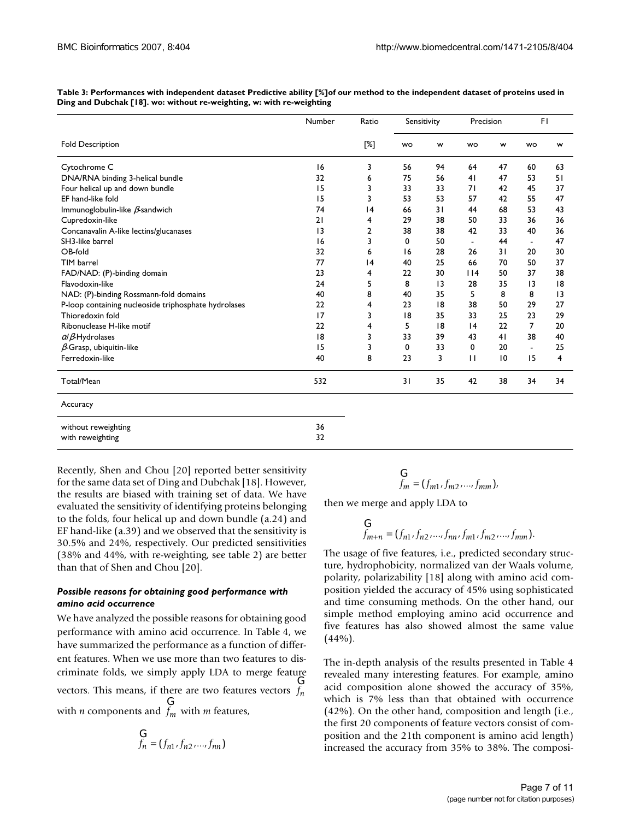|                                                      | Number | Ratio<br>[%] | Sensitivity |                 | Precision    |    | FI              |    |
|------------------------------------------------------|--------|--------------|-------------|-----------------|--------------|----|-----------------|----|
| <b>Fold Description</b>                              |        |              | wo          | w               | <b>WO</b>    | W  | <b>WO</b>       | w  |
| Cytochrome C                                         | 16     | 3            | 56          | 94              | 64           | 47 | 60              | 63 |
| DNA/RNA binding 3-helical bundle                     | 32     | 6            | 75          | 56              | 41           | 47 | 53              | 51 |
| Four helical up and down bundle                      | 15     | 3            | 33          | 33              | 71           | 42 | 45              | 37 |
| EF hand-like fold                                    | 15     | 3            | 53          | 53              | 57           | 42 | 55              | 47 |
| Immunoglobulin-like -sandwich                        | 74     | 4            | 66          | 31              | 44           | 68 | 53              | 43 |
| Cupredoxin-like                                      | 21     | 4            | 29          | 38              | 50           | 33 | 36              | 36 |
| Concanavalin A-like lectins/glucanases               | 3      | 2            | 38          | 38              | 42           | 33 | 40              | 36 |
| SH3-like barrel                                      | 16     | 3            | 0           | 50              | ٠            | 44 | $\blacksquare$  | 47 |
| OB-fold                                              | 32     | 6            | 16          | 28              | 26           | 31 | 20              | 30 |
| TIM barrel                                           | 77     | 4            | 40          | 25              | 66           | 70 | 50              | 37 |
| FAD/NAD: (P)-binding domain                          | 23     | 4            | 22          | 30              | 14           | 50 | 37              | 38 |
| Flavodoxin-like                                      | 24     | 5            | 8           | $\overline{13}$ | 28           | 35 | $\overline{13}$ | 8  |
| NAD: (P)-binding Rossmann-fold domains               | 40     | 8            | 40          | 35              | 5            | 8  | 8               | 3  |
| P-loop containing nucleoside triphosphate hydrolases | 22     | 4            | 23          | 18              | 38           | 50 | 29              | 27 |
| Thioredoxin fold                                     | 17     | 3            | 18          | 35              | 33           | 25 | 23              | 29 |
| Ribonuclease H-like motif                            | 22     | 4            | 5           | 18              | 4            | 22 | 7               | 20 |
| / -Hydrolases                                        | 8      | 3            | 33          | 39              | 43           | 41 | 38              | 40 |
| -Grasp, ubiquitin-like                               | 15     | 3            | 0           | 33              | 0            | 20 | $\blacksquare$  | 25 |
| Ferredoxin-like                                      | 40     | 8            | 23          | 3               | $\mathbf{H}$ | 10 | 15              | 4  |
| Total/Mean                                           | 532    |              | 31          | 35              | 42           | 38 | 34              | 34 |
| Accuracy                                             |        |              |             |                 |              |    |                 |    |

**Table 3: Performances with independent dataset Predictive ability [%]of our method to the independent dataset of proteins used in Ding and Dubchak [18]. wo: without re-weighting, w: with re-weighting**

| without reweighting<br>with reweighting | 36<br>32 |
|-----------------------------------------|----------|
|                                         |          |

Recently, Shen and Chou [20] reported better sensitivity for the same data set of Ding and Dubchak [18]. However, the results are biased with training set of data. We have evaluated the sensitivity of identifying proteins belonging to the folds, four helical up and down bundle (a.24) and EF hand-like (a.39) and we observed that the sensitivity is 30.5% and 24%, respectively. Our predicted sensitivities (38% and 44%, with re-weighting, see table 2) are better than that of Shen and Chou [20].

## *Possible reasons for obtaining good performance with amino acid occurrence*

We have analyzed the possible reasons for obtaining good performance with amino acid occurrence. In Table 4, we have summarized the performance as a function of different features. When we use more than two features to discriminate folds, we simply apply LDA to merge feature vectors. This means, if there are two features vectors *fn* with *n* components and  $f_m$  with *m* features, G G *fm*

$$
\mathbf{X}_{f_n} = (f_{n1}, f_{n2}, \dots, f_{nn})
$$

$$
\mathbf{X}_{m} = (f_{m1}, f_{m2}, \dots, f_{mm}),
$$

then we merge and apply LDA to

$$
\mathbf{X}_{m+n} = (f_{n1}, f_{n2}, \dots, f_{nn}, f_{m1}, f_{m2}, \dots, f_{mm}).
$$

The usage of five features, i.e., predicted secondary structure, hydrophobicity, normalized van der Waals volume, polarity, polarizability [18] along with amino acid composition yielded the accuracy of 45% using sophisticated and time consuming methods. On the other hand, our simple method employing amino acid occurrence and five features has also showed almost the same value  $(44%).$ 

The in-depth analysis of the results presented in Table 4 revealed many interesting features. For example, amino acid composition alone showed the accuracy of 35%, which is 7% less than that obtained with occurrence (42%). On the other hand, composition and length (i.e., the first 20 components of feature vectors consist of composition and the 21th component is amino acid length) increased the accuracy from 35% to 38%. The composi-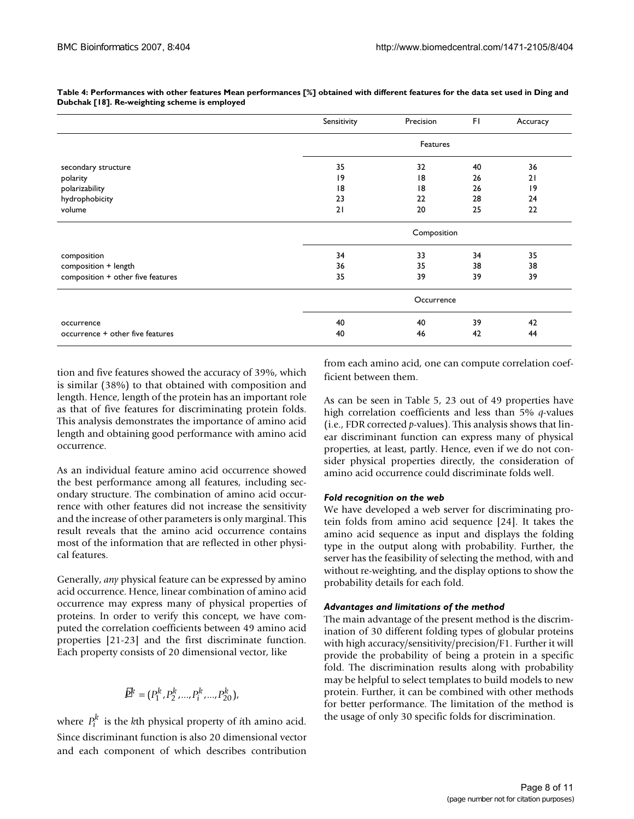|                                   | Sensitivity | Precision | FI. | Accuracy        |  |  |
|-----------------------------------|-------------|-----------|-----|-----------------|--|--|
|                                   | Features    |           |     |                 |  |  |
| secondary structure               | 35          | 32        | 40  | 36              |  |  |
| polarity                          | 19          | 18        | 26  | 21              |  |  |
| polarizability                    | 18          | 18        | 26  | $\overline{19}$ |  |  |
| hydrophobicity                    | 23          | 22        | 28  | 24              |  |  |
| volume                            | 21          | 20        | 25  | 22              |  |  |
|                                   | Composition |           |     |                 |  |  |
| composition                       | 34          | 33        | 34  | 35              |  |  |
| composition + length              | 36          | 35        | 38  | 38              |  |  |
| composition + other five features | 35          | 39        | 39  | 39              |  |  |
|                                   | Occurrence  |           |     |                 |  |  |
| occurrence                        | 40          | 40        | 39  | 42              |  |  |
| occurrence + other five features  | 40          | 46        | 42  | 44              |  |  |

**Table 4: Performances with other features Mean performances [%] obtained with different features for the data set used in Ding and Dubchak [18]. Re-weighting scheme is employed**

tion and five features showed the accuracy of 39%, which is similar (38%) to that obtained with composition and length. Hence, length of the protein has an important role as that of five features for discriminating protein folds. This analysis demonstrates the importance of amino acid length and obtaining good performance with amino acid occurrence.

As an individual feature amino acid occurrence showed the best performance among all features, including secondary structure. The combination of amino acid occurrence with other features did not increase the sensitivity and the increase of other parameters is only marginal. This result reveals that the amino acid occurrence contains most of the information that are reflected in other physical features.

Generally, *any* physical feature can be expressed by amino acid occurrence. Hence, linear combination of amino acid occurrence may express many of physical properties of proteins. In order to verify this concept, we have computed the correlation coefficients between 49 amino acid properties [21-23] and the first discriminate function. Each property consists of 20 dimensional vector, like

$$
\tilde{P}^k = (P_1^k, P_2^k, ..., P_i^k, ..., P_{20}^k),
$$

where  $P_i^k$  is the *k*th physical property of *i*th amino acid. Since discriminant function is also 20 dimensional vector and each component of which describes contribution

from each amino acid, one can compute correlation coefficient between them.

As can be seen in Table 5, 23 out of 49 properties have high correlation coefficients and less than 5% *q*-values (i.e., FDR corrected *p*-values). This analysis shows that linear discriminant function can express many of physical properties, at least, partly. Hence, even if we do not consider physical properties directly, the consideration of amino acid occurrence could discriminate folds well.

## *Fold recognition on the web*

We have developed a web server for discriminating protein folds from amino acid sequence [24]. It takes the amino acid sequence as input and displays the folding type in the output along with probability. Further, the server has the feasibility of selecting the method, with and without re-weighting, and the display options to show the probability details for each fold.

## *Advantages and limitations of the method*

The main advantage of the present method is the discrimination of 30 different folding types of globular proteins with high accuracy/sensitivity/precision/F1. Further it will provide the probability of being a protein in a specific fold. The discrimination results along with probability may be helpful to select templates to build models to new protein. Further, it can be combined with other methods for better performance. The limitation of the method is the usage of only 30 specific folds for discrimination.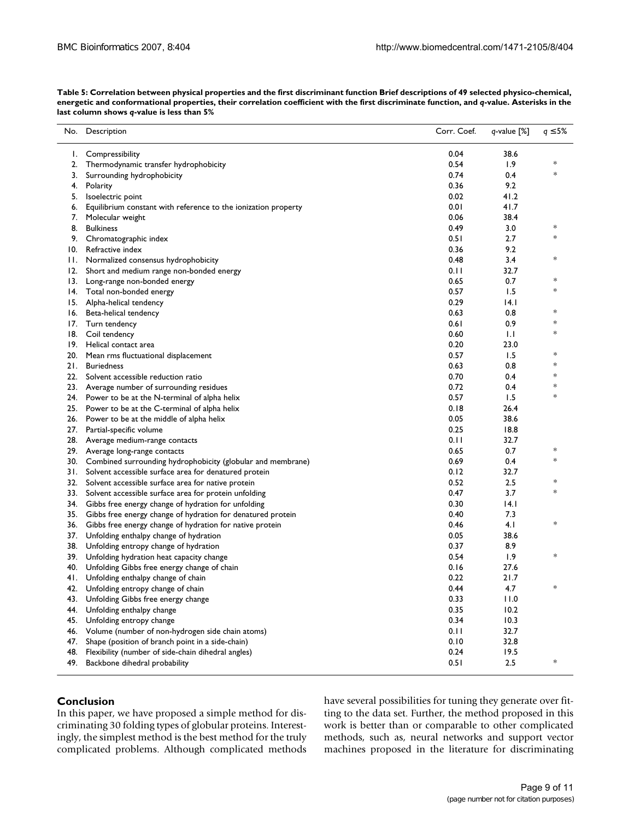| No.   | Description                                                     | Corr. Coef. | q-value [%] | 5%<br>q |
|-------|-----------------------------------------------------------------|-------------|-------------|---------|
| Ι.    | Compressibility                                                 | 0.04        | 38.6        |         |
| 2.    | Thermodynamic transfer hydrophobicity                           | 0.54        | 1.9         | ∗       |
| 3.    | Surrounding hydrophobicity                                      | 0.74        | 0.4         | *       |
| 4.    | Polarity                                                        | 0.36        | 9.2         |         |
| 5.    | Isoelectric point                                               | 0.02        | 41.2        |         |
| 6.    | Equilibrium constant with reference to the ionization property  | 0.01        | 41.7        |         |
| 7.    | Molecular weight                                                | 0.06        | 38.4        |         |
| 8.    | <b>Bulkiness</b>                                                | 0.49        | 3.0         | ∗       |
|       | 9. Chromatographic index                                        | 0.51        | 2.7         | ∗       |
| 10.   | Refractive index                                                | 0.36        | 9.2         |         |
| Н.    | Normalized consensus hydrophobicity                             | 0.48        | 3.4         | $\ast$  |
| 12.   | Short and medium range non-bonded energy                        | 0.11        | 32.7        |         |
|       | 13. Long-range non-bonded energy                                | 0.65        | 0.7         | ∗       |
|       | 14. Total non-bonded energy                                     | 0.57        | 1.5         | ∗       |
| 15.   | Alpha-helical tendency                                          | 0.29        | 4.1         |         |
| 16.   | Beta-helical tendency                                           | 0.63        | 0.8         | ∗       |
| 17.   | Turn tendency                                                   | 0.61        | 0.9         | $\ast$  |
|       | 18. Coil tendency                                               | 0.60        | 1.1         | *       |
| 19.   | Helical contact area                                            | 0.20        | 23.0        |         |
| 20.   | Mean rms fluctuational displacement                             | 0.57        | 1.5         | *       |
| 21.   | <b>Buriedness</b>                                               | 0.63        | 0.8         | ∗       |
|       | 22. Solvent accessible reduction ratio                          | 0.70        | 0.4         | *       |
|       | 23. Average number of surrounding residues                      | 0.72        | 0.4         | *       |
|       | 24. Power to be at the N-terminal of alpha helix                | 0.57        | 1.5         | $\ast$  |
|       | 25. Power to be at the C-terminal of alpha helix                | 0.18        | 26.4        |         |
|       | 26. Power to be at the middle of alpha helix                    | 0.05        | 38.6        |         |
| 27.   | Partial-specific volume                                         | 0.25        | 18.8        |         |
|       | 28. Average medium-range contacts                               | 0.11        | 32.7        |         |
|       | 29. Average long-range contacts                                 | 0.65        | 0.7         | *       |
| 30.   | Combined surrounding hydrophobicity (globular and membrane)     | 0.69        | 0.4         | ∗       |
| 3 I . | Solvent accessible surface area for denatured protein           | 0.12        | 32.7        |         |
|       | 32. Solvent accessible surface area for native protein          | 0.52        | 2.5         | *       |
|       | 33. Solvent accessible surface area for protein unfolding       | 0.47        | 3.7         | *       |
|       | 34. Gibbs free energy change of hydration for unfolding         | 0.30        | 4.1         |         |
|       | 35. Gibbs free energy change of hydration for denatured protein | 0.40        | 7.3         |         |
|       | 36. Gibbs free energy change of hydration for native protein    | 0.46        | 4.1         | ∗       |
| 37.   | Unfolding enthalpy change of hydration                          | 0.05        | 38.6        |         |
| 38.   | Unfolding entropy change of hydration                           | 0.37        | 8.9         |         |
|       | 39. Unfolding hydration heat capacity change                    | 0.54        | 1.9         | *       |
| 40.   | Unfolding Gibbs free energy change of chain                     | 0.16        | 27.6        |         |
|       | 41. Unfolding enthalpy change of chain                          | 0.22        | 21.7        |         |
| 42.   | Unfolding entropy change of chain                               | 0.44        | 4.7         |         |
| 43.   | Unfolding Gibbs free energy change                              | 0.33        | 11.0        |         |
| 44.   | Unfolding enthalpy change                                       | 0.35        | 10.2        |         |
| 45.   | Unfolding entropy change                                        | 0.34        | 10.3        |         |
| 46.   | Volume (number of non-hydrogen side chain atoms)                | 0.11        | 32.7        |         |
| 47.   | Shape (position of branch point in a side-chain)                | 0.10        | 32.8        |         |
| 48.   | Flexibility (number of side-chain dihedral angles)              | 0.24        | 19.5        |         |
| 49.   | Backbone dihedral probability                                   | 0.51        | 2.5         | *       |

**Table 5: Correlation between physical properties and the first discriminant function Brief descriptions of 49 selected physico-chemical, energetic and conformational properties, their correlation coefficient with the first discriminate function, and** *q***-value. Asterisks in the last column shows** *q***-value is less than 5%**

## **Conclusion**

In this paper, we have proposed a simple method for discriminating 30 folding types of globular proteins. Interestingly, the simplest method is the best method for the truly complicated problems. Although complicated methods have several possibilities for tuning they generate over fitting to the data set. Further, the method proposed in this work is better than or comparable to other complicated methods, such as, neural networks and support vector machines proposed in the literature for discriminating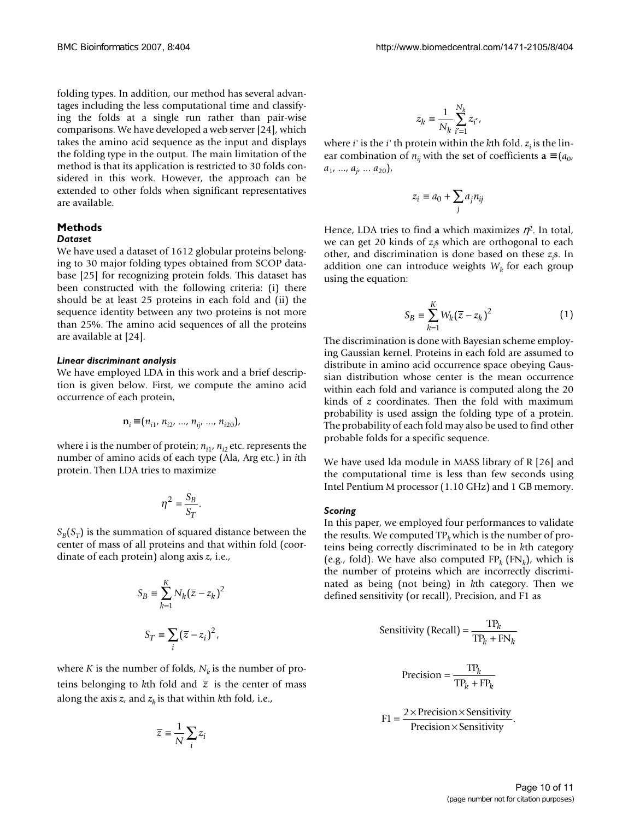folding types. In addition, our method has several advantages including the less computational time and classifying the folds at a single run rather than pair-wise comparisons. We have developed a web server [24], which takes the amino acid sequence as the input and displays the folding type in the output. The main limitation of the method is that its application is restricted to 30 folds considered in this work. However, the approach can be extended to other folds when significant representatives are available.

## **Methods** *Dataset*

We have used a dataset of 1612 globular proteins belonging to 30 major folding types obtained from SCOP database [25] for recognizing protein folds. This dataset has been constructed with the following criteria: (i) there should be at least 25 proteins in each fold and (ii) the sequence identity between any two proteins is not more than 25%. The amino acid sequences of all the proteins are available at [24].

## *Linear discriminant analysis*

We have employed LDA in this work and a brief description is given below. First, we compute the amino acid occurrence of each protein,

$$
\mathbf{n}_{i} \quad (n_{i1}, n_{i2}, \ldots, n_{ij}, \ldots, n_{i20}),
$$

where i is the number of protein;  $n_{i1}$ ,  $n_{i2}$  etc. represents the number of amino acids of each type (Ala, Arg etc.) in *i*th protein. Then LDA tries to maximize

$$
\eta^2 = \frac{S_B}{S_T}.
$$

*SB* (*S<sup>T</sup>* ) is the summation of squared distance between the center of mass of all proteins and that within fold (coordinate of each protein) along axis *z*, i.e.,

$$
S_B \equiv \sum_{k=1}^K N_k (\overline{z} - z_k)^2
$$
  

$$
S_T \equiv \sum_i (\overline{z} - z_i)^2,
$$

where *K* is the number of folds,  $N_k$  is the number of proteins belonging to kth fold and  $\bar{z}$  is the center of mass along the axis  $z$ , and  $z<sub>k</sub>$  is that within  $k$ th fold, i.e.,

$$
\overline{z} \equiv \frac{1}{N} \sum_i z_i
$$

$$
z_k \equiv \frac{1}{N_k}\sum_{i'=1}^{N_k} z_{i'},
$$

where *i'* is the *i'* th protein within the *k*th fold. *zi* is the linear combination of  $n_{ij}$  with the set of coefficients **a**  $(a_0, a_1)$  $a_1$ , ...,  $a_j$ , ...  $a_{20}$ ),

$$
z_i \equiv a_0 + \sum_j a_j n_{ij}
$$

Hence, LDA tries to find a which maximizes <sup>2</sup>. In total, we can get 20 kinds of *z<sup>i</sup>* s which are orthogonal to each other, and discrimination is done based on these *z<sup>i</sup>* s. In addition one can introduce weights  $W_k$  for each group using the equation:

$$
S_B \equiv \sum_{k=1}^{K} W_k (\overline{z} - z_k)^2
$$
 (1)

The discrimination is done with Bayesian scheme employing Gaussian kernel. Proteins in each fold are assumed to distribute in amino acid occurrence space obeying Gaussian distribution whose center is the mean occurrence within each fold and variance is computed along the 20 kinds of *z* coordinates. Then the fold with maximum probability is used assign the folding type of a protein. The probability of each fold may also be used to find other probable folds for a specific sequence.

We have used lda module in MASS library of R [26] and the computational time is less than few seconds using Intel Pentium M processor (1.10 GHz) and 1 GB memory.

## *Scoring*

In this paper, we employed four performances to validate the results. We computed  $TP_k$  which is the number of proteins being correctly discriminated to be in *k*th category (e.g., fold). We have also computed  $FP_k$  ( $FN_k$ ), which is the number of proteins which are incorrectly discriminated as being (not being) in *k*th category. Then we defined sensitivity (or recall), Precision, and F1 as

Sensitivity (Recall) = 
$$
\frac{\text{TP}_k}{\text{TP}_k + \text{FN}_k}
$$
  
Precision = 
$$
\frac{\text{TP}_k}{\text{TP}_k + \text{FP}_k}
$$
  
FI = 
$$
\frac{2 \times \text{Precision} \times \text{Sensitivity}}{\text{Poisson} \times \text{Sensitivity}}.
$$

$$
F1 = \frac{2 \times 1 \times 1000 \times 3 \times 1000}{\text{Precision} \times \text{Sensitivity}}
$$